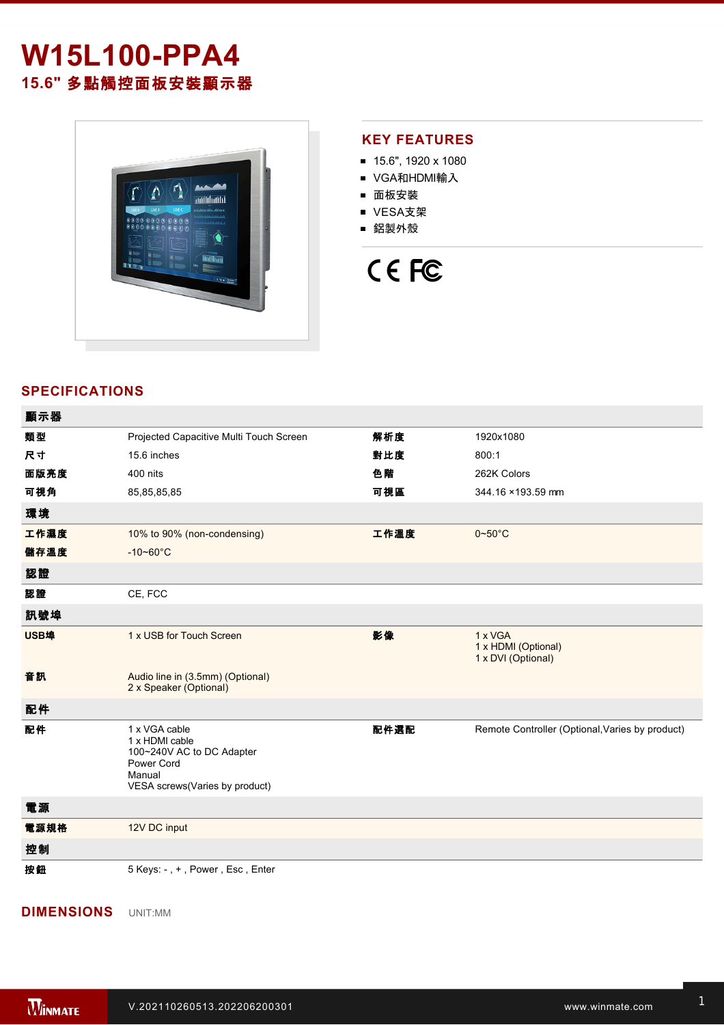## **W15L100-PPA4 15.6"** 多點觸控面板安裝顯示器



### **KEY FEATURES**

- 15.6", 1920 x 1080
- VGA和HDMI輸入
- 面板安裝
- VESA支架
- 鋁製外殼

# CE FC

### **SPECIFICATIONS**

| 顯示器  |                                                                                                                        |      |                                                      |
|------|------------------------------------------------------------------------------------------------------------------------|------|------------------------------------------------------|
| 類型   | Projected Capacitive Multi Touch Screen                                                                                | 解析度  | 1920x1080                                            |
| 尺寸   | 15.6 inches                                                                                                            | 對比度  | 800:1                                                |
| 面版亮度 | 400 nits                                                                                                               | 色階   | 262K Colors                                          |
| 可視角  | 85,85,85,85                                                                                                            | 可視區  | 344.16 ×193.59 mm                                    |
| 環境   |                                                                                                                        |      |                                                      |
| 工作濕度 | 10% to 90% (non-condensing)                                                                                            | 工作溫度 | $0 - 50$ °C                                          |
| 儲存溫度 | $-10 - 60^{\circ}$ C                                                                                                   |      |                                                      |
| 認證   |                                                                                                                        |      |                                                      |
| 認證   | CE, FCC                                                                                                                |      |                                                      |
| 訊號埠  |                                                                                                                        |      |                                                      |
| USB埠 | 1 x USB for Touch Screen                                                                                               | 影像   | 1 x VGA<br>1 x HDMI (Optional)<br>1 x DVI (Optional) |
| 音訊   | Audio line in (3.5mm) (Optional)<br>2 x Speaker (Optional)                                                             |      |                                                      |
| 配件   |                                                                                                                        |      |                                                      |
| 配件   | 1 x VGA cable<br>1 x HDMI cable<br>100~240V AC to DC Adapter<br>Power Cord<br>Manual<br>VESA screws(Varies by product) | 配件選配 | Remote Controller (Optional, Varies by product)      |
| 電源   |                                                                                                                        |      |                                                      |
| 電源規格 | 12V DC input                                                                                                           |      |                                                      |
| 控制   |                                                                                                                        |      |                                                      |
| 按鈕   | 5 Keys: -, +, Power, Esc, Enter                                                                                        |      |                                                      |

**DIMENSIONS**  UNIT:MM